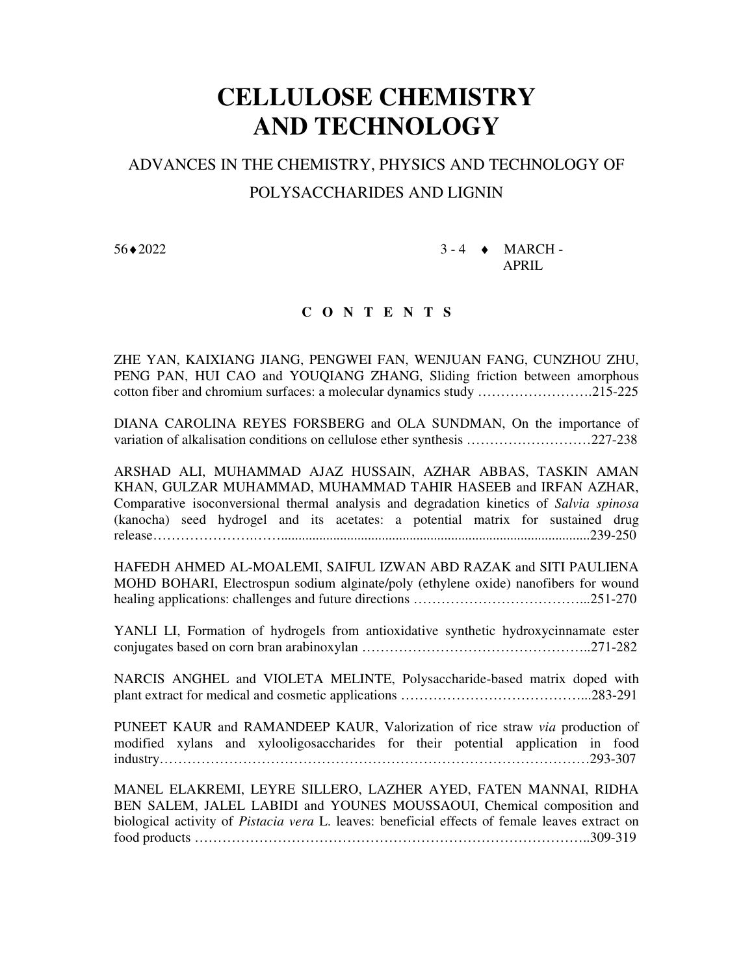## **CELLULOSE CHEMISTRY AND TECHNOLOGY**

## ADVANCES IN THE CHEMISTRY, PHYSICS AND TECHNOLOGY OF POLYSACCHARIDES AND LIGNIN

 $56 \cdot 2022$  3 - 4  $\bullet$  MARCH -APRIL

## **C O N T E N T S**

ZHE YAN, KAIXIANG JIANG, PENGWEI FAN, WENJUAN FANG, CUNZHOU ZHU, PENG PAN, HUI CAO and YOUQIANG ZHANG, Sliding friction between amorphous cotton fiber and chromium surfaces: a molecular dynamics study …………………….215-225

DIANA CAROLINA REYES FORSBERG and OLA SUNDMAN, On the importance of variation of alkalisation conditions on cellulose ether synthesis ………………………227-238

ARSHAD ALI, MUHAMMAD AJAZ HUSSAIN, AZHAR ABBAS, TASKIN AMAN KHAN, GULZAR MUHAMMAD, MUHAMMAD TAHIR HASEEB and IRFAN AZHAR, Comparative isoconversional thermal analysis and degradation kinetics of *Salvia spinosa*  (kanocha) seed hydrogel and its acetates: a potential matrix for sustained drug release………………….…….........................................................................................239-250

HAFEDH AHMED AL-MOALEMI, SAIFUL IZWAN ABD RAZAK and SITI PAULIENA MOHD BOHARI, Electrospun sodium alginate/poly (ethylene oxide) nanofibers for wound healing applications: challenges and future directions ………………………………...251-270

YANLI LI, Formation of hydrogels from antioxidative synthetic hydroxycinnamate ester conjugates based on corn bran arabinoxylan …………………………………………..271-282

NARCIS ANGHEL and VIOLETA MELINTE, Polysaccharide-based matrix doped with plant extract for medical and cosmetic applications …………………………………...283-291

PUNEET KAUR and RAMANDEEP KAUR, Valorization of rice straw *via* production of modified xylans and xylooligosaccharides for their potential application in food industry…………………………………………………………………………………293-307

MANEL ELAKREMI, LEYRE SILLERO, LAZHER AYED, FATEN MANNAI, RIDHA BEN SALEM, JALEL LABIDI and YOUNES MOUSSAOUI, Chemical composition and biological activity of *Pistacia vera* L. leaves: beneficial effects of female leaves extract on food products …………………………………………………………………………..309-319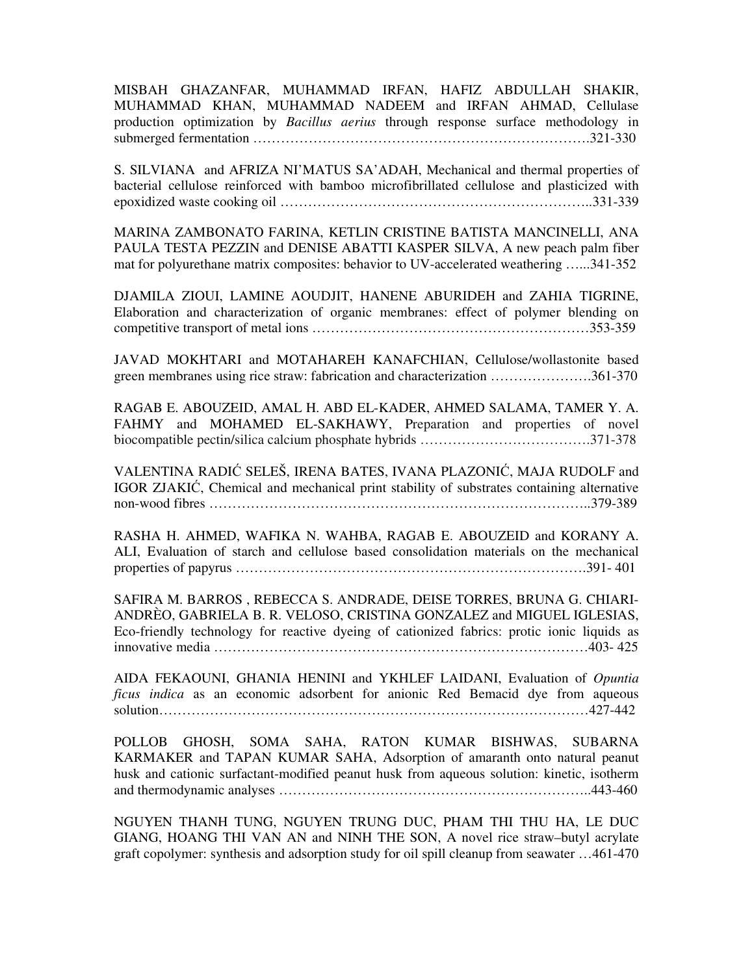MISBAH GHAZANFAR, MUHAMMAD IRFAN, HAFIZ ABDULLAH SHAKIR, MUHAMMAD KHAN, MUHAMMAD NADEEM and IRFAN AHMAD, Cellulase production optimization by *Bacillus aerius* through response surface methodology in submerged fermentation ……………………………………………………………….321-330

S. SILVIANA and AFRIZA NI'MATUS SA'ADAH, Mechanical and thermal properties of bacterial cellulose reinforced with bamboo microfibrillated cellulose and plasticized with epoxidized waste cooking oil …………………………………………………………..331-339

MARINA ZAMBONATO FARINA, KETLIN CRISTINE BATISTA MANCINELLI, ANA PAULA TESTA PEZZIN and DENISE ABATTI KASPER SILVA, A new peach palm fiber mat for polyurethane matrix composites: behavior to UV-accelerated weathering …...341-352

DJAMILA ZIOUI, LAMINE AOUDJIT, HANENE ABURIDEH and ZAHIA TIGRINE, Elaboration and characterization of organic membranes: effect of polymer blending on competitive transport of metal ions ……………………………………………………353-359

JAVAD MOKHTARI and MOTAHAREH KANAFCHIAN, Cellulose/wollastonite based green membranes using rice straw: fabrication and characterization ………………….361-370

RAGAB E. ABOUZEID, AMAL H. ABD EL-KADER, AHMED SALAMA, TAMER Y. A. FAHMY and MOHAMED EL-SAKHAWY, Preparation and properties of novel biocompatible pectin/silica calcium phosphate hybrids ……………………………….371-378

VALENTINA RADIĆ SELEŠ, IRENA BATES, IVANA PLAZONIĆ, MAJA RUDOLF and IGOR ZJAKIĆ, Chemical and mechanical print stability of substrates containing alternative non-wood fibres ………………………………………………………………………..379-389

RASHA H. AHMED, WAFIKA N. WAHBA, RAGAB E. ABOUZEID and KORANY A. ALI, Evaluation of starch and cellulose based consolidation materials on the mechanical properties of papyrus ………………………………………………………………….391- 401

SAFIRA M. BARROS , REBECCA S. ANDRADE, DEISE TORRES, BRUNA G. CHIARI-ANDRÈO, GABRIELA B. R. VELOSO, CRISTINA GONZALEZ and MIGUEL IGLESIAS, Eco-friendly technology for reactive dyeing of cationized fabrics: protic ionic liquids as innovative media ………………………………………………………………………403- 425

AIDA FEKAOUNI, GHANIA HENINI and YKHLEF LAIDANI, Evaluation of *Opuntia ficus indica* as an economic adsorbent for anionic Red Bemacid dye from aqueous solution…………………………………………………………………………………427-442

POLLOB GHOSH, SOMA SAHA, RATON KUMAR BISHWAS, SUBARNA KARMAKER and TAPAN KUMAR SAHA, Adsorption of amaranth onto natural peanut husk and cationic surfactant-modified peanut husk from aqueous solution: kinetic, isotherm and thermodynamic analyses …………………………………………………………..443-460

NGUYEN THANH TUNG, NGUYEN TRUNG DUC, PHAM THI THU HA, LE DUC GIANG, HOANG THI VAN AN and NINH THE SON, A novel rice straw–butyl acrylate graft copolymer: synthesis and adsorption study for oil spill cleanup from seawater …461-470